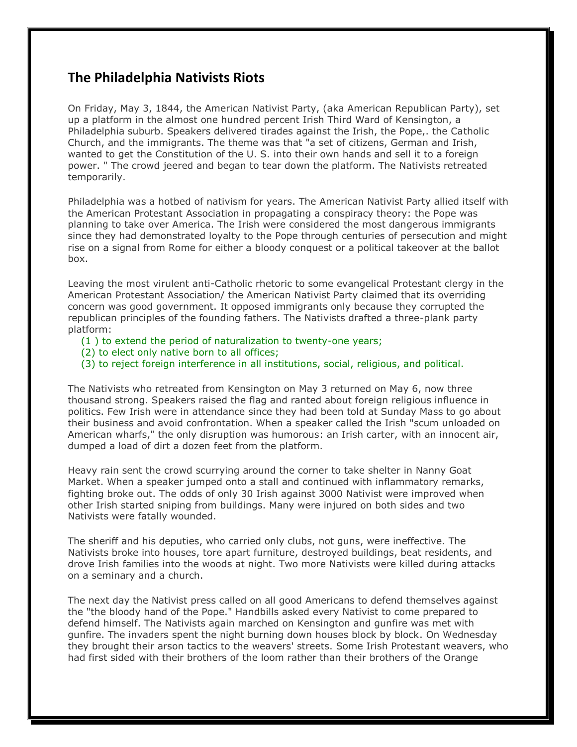## **The Philadelphia Nativists Riots**

On Friday, May 3, 1844, the American Nativist Party, (aka American Republican Party), set up a platform in the almost one hundred percent Irish Third Ward of Kensington, a Philadelphia suburb. Speakers delivered tirades against the Irish, the Pope,. the Catholic Church, and the immigrants. The theme was that "a set of citizens, German and Irish, wanted to get the Constitution of the U. S. into their own hands and sell it to a foreign power. " The crowd jeered and began to tear down the platform. The Nativists retreated temporarily.

Philadelphia was a hotbed of nativism for years. The American Nativist Party allied itself with the American Protestant Association in propagating a conspiracy theory: the Pope was planning to take over America. The Irish were considered the most dangerous immigrants since they had demonstrated loyalty to the Pope through centuries of persecution and might rise on a signal from Rome for either a bloody conquest or a political takeover at the ballot box.

Leaving the most virulent anti-Catholic rhetoric to some evangelical Protestant clergy in the American Protestant Association/ the American Nativist Party claimed that its overriding concern was good government. It opposed immigrants only because they corrupted the republican principles of the founding fathers. The Nativists drafted a three-plank party platform:

- (1 ) to extend the period of naturalization to twenty-one years;
- (2) to elect only native born to all offices;
- (3) to reject foreign interference in all institutions, social, religious, and political.

The Nativists who retreated from Kensington on May 3 returned on May 6, now three thousand strong. Speakers raised the flag and ranted about foreign religious influence in politics. Few Irish were in attendance since they had been told at Sunday Mass to go about their business and avoid confrontation. When a speaker called the Irish "scum unloaded on American wharfs," the only disruption was humorous: an Irish carter, with an innocent air, dumped a load of dirt a dozen feet from the platform.

Heavy rain sent the crowd scurrying around the corner to take shelter in Nanny Goat Market. When a speaker jumped onto a stall and continued with inflammatory remarks, fighting broke out. The odds of only 30 Irish against 3000 Nativist were improved when other Irish started sniping from buildings. Many were injured on both sides and two Nativists were fatally wounded.

The sheriff and his deputies, who carried only clubs, not guns, were ineffective. The Nativists broke into houses, tore apart furniture, destroyed buildings, beat residents, and drove Irish families into the woods at night. Two more Nativists were killed during attacks on a seminary and a church.

The next day the Nativist press called on all good Americans to defend themselves against the "the bloody hand of the Pope." Handbills asked every Nativist to come prepared to defend himself. The Nativists again marched on Kensington and gunfire was met with gunfire. The invaders spent the night burning down houses block by block. On Wednesday they brought their arson tactics to the weavers' streets. Some Irish Protestant weavers, who had first sided with their brothers of the loom rather than their brothers of the Orange